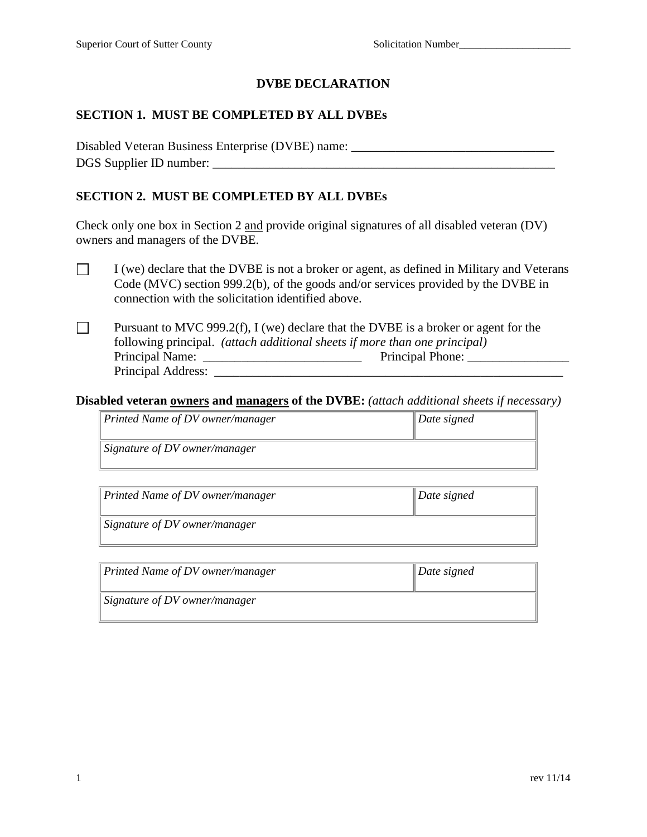# **DVBE DECLARATION**

# **SECTION 1. MUST BE COMPLETED BY ALL DVBEs**

Disabled Veteran Business Enterprise (DVBE) name: \_\_\_\_\_\_\_\_\_\_\_\_\_\_\_\_\_\_\_\_\_\_\_\_\_\_\_\_\_\_\_ DGS Supplier ID number:

## **SECTION 2. MUST BE COMPLETED BY ALL DVBEs**

Check only one box in Section 2 and provide original signatures of all disabled veteran (DV) owners and managers of the DVBE.

- $\Box$ I (we) declare that the DVBE is not a broker or agent, as defined in Military and Veterans Code (MVC) section 999.2(b), of the goods and/or services provided by the DVBE in connection with the solicitation identified above.
- $\Box$ Pursuant to MVC 999.2(f), I (we) declare that the DVBE is a broker or agent for the following principal. *(attach additional sheets if more than one principal)* Principal Name: \_\_\_\_\_\_\_\_\_\_\_\_\_\_\_\_\_\_\_\_\_\_\_\_\_ Principal Phone: \_\_\_\_\_\_\_\_\_\_\_\_\_\_\_\_ Principal Address: \_\_\_\_\_\_\_\_\_\_\_\_\_\_\_\_\_\_\_\_\_\_\_\_\_\_\_\_\_\_\_\_\_\_\_\_\_\_\_\_\_\_\_\_\_\_\_\_\_\_\_\_\_\_\_

### **Disabled veteran owners and managers of the DVBE:** *(attach additional sheets if necessary)*

| Printed Name of DV owner/manager | $\parallel$ Date signed |
|----------------------------------|-------------------------|
| Signature of DV owner/manager    |                         |

| $\parallel$ Printed Name of DV owner/manager | $\Delta$ Date signed |
|----------------------------------------------|----------------------|
| $\parallel$ Signature of DV owner/manager    |                      |

| Printed Name of DV owner/manager | $\Delta$ Date signed |
|----------------------------------|----------------------|
| Signature of DV owner/manager    |                      |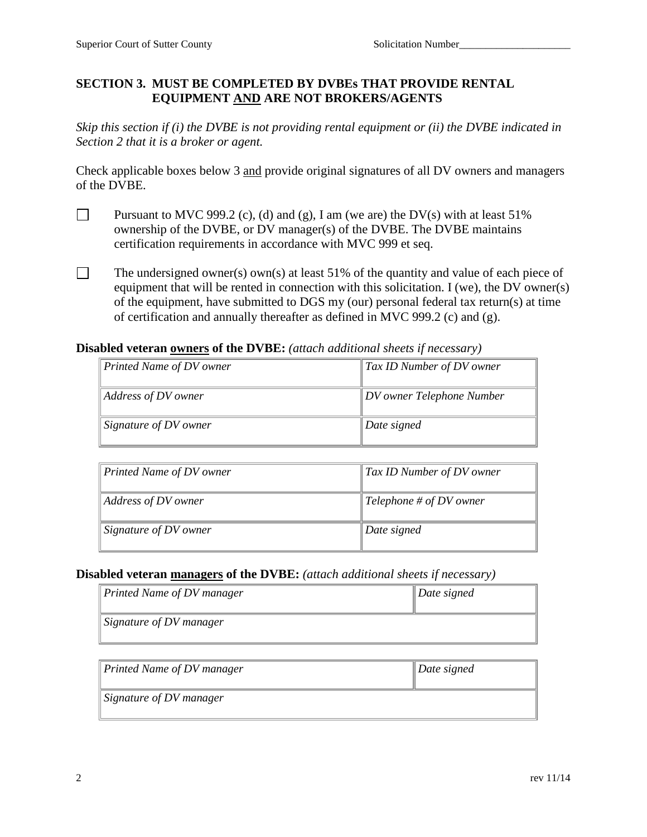# **SECTION 3. MUST BE COMPLETED BY DVBEs THAT PROVIDE RENTAL EQUIPMENT AND ARE NOT BROKERS/AGENTS**

*Skip this section if (i) the DVBE is not providing rental equipment or (ii) the DVBE indicated in Section 2 that it is a broker or agent.*

Check applicable boxes below 3 and provide original signatures of all DV owners and managers of the DVBE.

- $\Box$ Pursuant to MVC 999.2 (c), (d) and (g), I am (we are) the DV(s) with at least  $51\%$ ownership of the DVBE, or DV manager(s) of the DVBE. The DVBE maintains certification requirements in accordance with MVC 999 et seq.
- $\Box$ The undersigned owner(s) own(s) at least 51% of the quantity and value of each piece of equipment that will be rented in connection with this solicitation. I (we), the DV owner(s) of the equipment, have submitted to DGS my (our) personal federal tax return(s) at time of certification and annually thereafter as defined in MVC 999.2 (c) and (g).

**Disabled veteran owners of the DVBE:** *(attach additional sheets if necessary)*

| $\parallel$ Printed Name of DV owner | $\parallel$ Tax ID Number of DV owner |
|--------------------------------------|---------------------------------------|
| $\parallel$ Address of DV owner      | $\parallel$ DV owner Telephone Number |
| $\parallel$ Signature of DV owner    | Date signed                           |

| Printed Name of DV owner | $\parallel$ Tax ID Number of DV owner |
|--------------------------|---------------------------------------|
| Address of DV owner      | Telephone # of DV owner               |
| Signature of DV owner    | Date signed                           |

## **Disabled veteran managers of the DVBE:** *(attach additional sheets if necessary)*

| $\parallel$ Printed Name of DV manager | $\Delta$ Date signed |
|----------------------------------------|----------------------|
| $\parallel$ Signature of DV manager    |                      |

| $\parallel$ Printed Name of DV manager | $\Delta$ Date signed |
|----------------------------------------|----------------------|
| $\parallel$ Signature of DV manager    |                      |